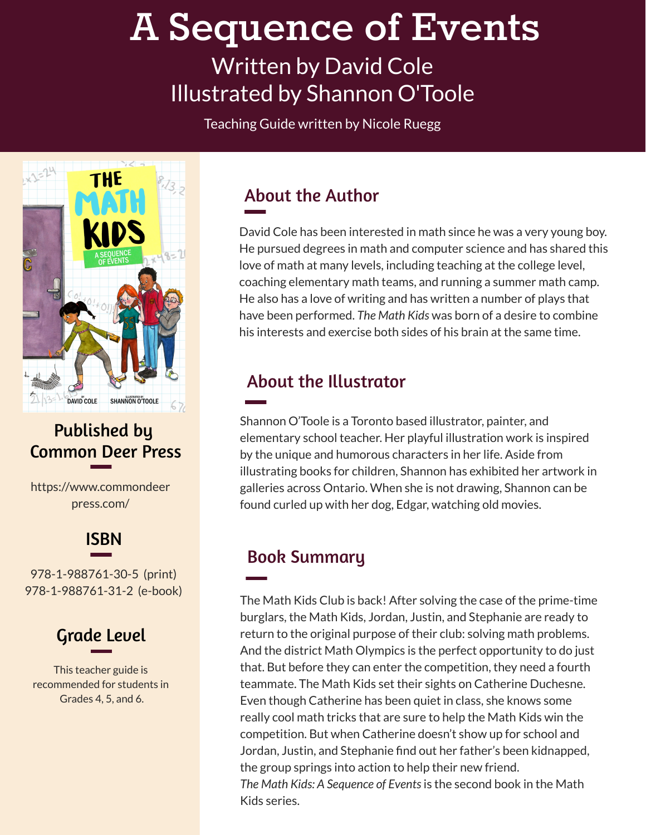# **A Sequence of Events**

# Written by David Cole Illustrated by Shannon O'Toole

Teaching Guide written by Nicole Ruegg



#### Published by Common Deer Press

https://www.commondeer press.com/

#### ISBN

978-1-988761-30-5 (print) 978-1-988761-31-2 (e-book)

## Grade Level

This teacher guide is recommended for students in Grades 4, 5, and 6.

#### About the Author

David Cole has been interested in math since he was a very young boy. He pursued degrees in math and computer science and has shared this love of math at many levels, including teaching at the college level, coaching elementary math teams, and running a summer math camp. He also has a love of writing and has written a number of plays that have been performed. *The Math Kids* was born of a desire to combine his interests and exercise both sides of his brain at the same time.

#### About the Illustrator

Shannon O'Toole is a Toronto based illustrator, painter, and elementary school teacher. Her playful illustration work is inspired by the unique and humorous characters in her life. Aside from illustrating books for children, Shannon has exhibited her artwork in galleries across Ontario. When she is not drawing, Shannon can be found curled up with her dog, Edgar, watching old movies.

#### Book Summary

The Math Kids Club is back! After solving the case of the prime-time burglars, the Math Kids, Jordan, Justin, and Stephanie are ready to return to the original purpose of their club: solving math problems. And the district Math Olympics is the perfect opportunity to do just that. But before they can enter the competition, they need a fourth teammate. The Math Kids set their sights on Catherine Duchesne. Even though Catherine has been quiet in class, she knows some really cool math tricks that are sure to help the Math Kids win the competition. But when Catherine doesn't show up for school and Jordan, Justin, and Stephanie find out her father's been kidnapped, the group springs into action to help their new friend. *The Math Kids: A Sequence of Events*is the second book in the Math Kids series.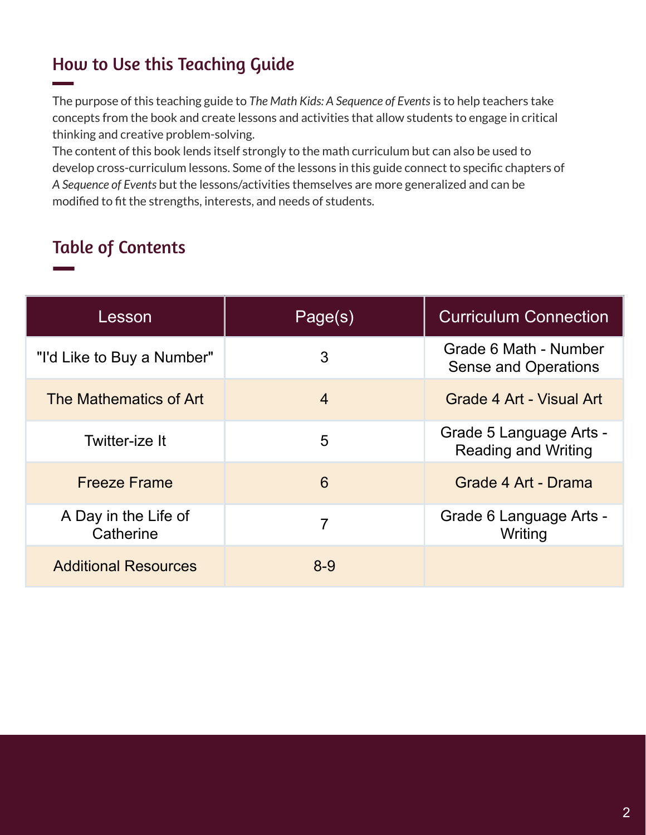#### How to Use this Teaching Guide

The purpose of this teaching guide to *The Math Kids: A Sequence of Events*is to help teachers take concepts from the book and create lessons and activities that allow students to engage in critical thinking and creative problem-solving.

The content of this book lends itself strongly to the math curriculum but can also be used to develop cross-curriculum lessons. Some of the lessons in this guide connect to specific chapters of *A Sequence of Events* but the lessons/activities themselves are more generalized and can be modified to fit the strengths, interests, and needs of students.

#### Table of Contents

| Lesson                            | Page(s) | <b>Curriculum Connection</b>                          |
|-----------------------------------|---------|-------------------------------------------------------|
| "I'd Like to Buy a Number"        | 3       | Grade 6 Math - Number<br><b>Sense and Operations</b>  |
| The Mathematics of Art            | 4       | Grade 4 Art - Visual Art                              |
| Twitter-ize It                    | 5       | Grade 5 Language Arts -<br><b>Reading and Writing</b> |
| <b>Freeze Frame</b>               | 6       | Grade 4 Art - Drama                                   |
| A Day in the Life of<br>Catherine | 7       | Grade 6 Language Arts -<br>Writing                    |
| <b>Additional Resources</b>       | $8 - 9$ |                                                       |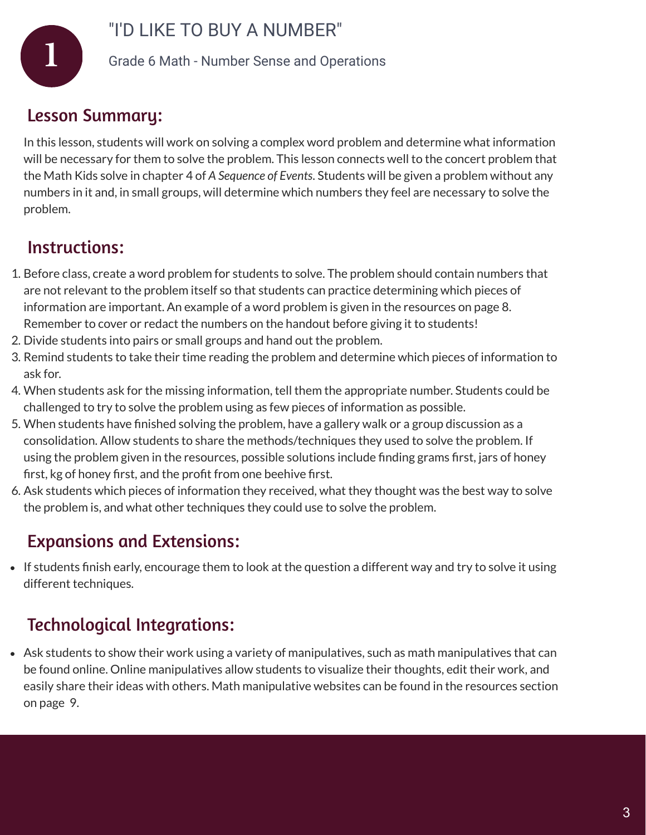

#### "I'D LIKE TO BUY A NUMBER"

**1** Grade 6 Math - Number Sense and Operations

#### Lesson Summary:

In this lesson, students will work on solving a complex word problem and determine what information will be necessary for them to solve the problem. This lesson connects well to the concert problem that the Math Kids solve in chapter 4 of *A Sequence of Events*. Students will be given a problem without any numbers in it and, in small groups, will determine which numbers they feel are necessary to solve the problem.

#### Instructions:

- 1. Before class, create a word problem for students to solve. The problem should contain numbers that are not relevant to the problem itself so that students can practice determining which pieces of information are important. An example of a word problem is given in the resources on page 8. Remember to cover or redact the numbers on the handout before giving it to students!
- 2. Divide students into pairs or small groups and hand out the problem.
- 3. Remind students to take their time reading the problem and determine which pieces of information to ask for.
- 4. When students ask for the missing information, tell them the appropriate number. Students could be challenged to try to solve the problem using as few pieces of information as possible.
- 5. When students have finished solving the problem, have a gallery walk or a group discussion as a consolidation. Allow students to share the methods/techniques they used to solve the problem. If using the problem given in the resources, possible solutions include finding grams first, jars of honey first, kg of honey first, and the profit from one beehive first.
- 6. Ask students which pieces of information they received, what they thought was the best way to solve the problem is, and what other techniques they could use to solve the problem.

#### Expansions and Extensions:

• If students finish early, encourage them to look at the question a different way and try to solve it using different techniques.

#### Technological Integrations:

Ask students to show their work using a variety of manipulatives, such as math manipulatives that can be found online. Online manipulatives allow students to visualize their thoughts, edit their work, and easily share their ideas with others. Math manipulative websites can be found in the resources section on page 9.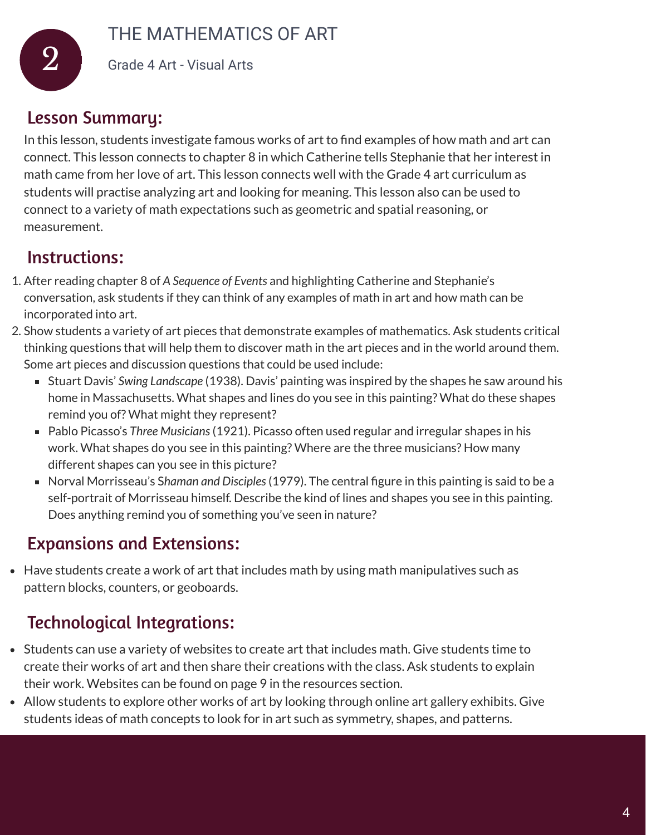

#### THE MATHEMATICS OF ART

2 Grade 4 Art - Visual Arts

#### Lesson Summary:

In this lesson, students investigate famous works of art to find examples of how math and art can connect. This lesson connects to chapter 8 in which Catherine tells Stephanie that her interest in math came from her love of art. This lesson connects well with the Grade 4 art curriculum as students will practise analyzing art and looking for meaning. This lesson also can be used to connect to a variety of math expectations such as geometric and spatial reasoning, or measurement.

#### Instructions:

- 1. After reading chapter 8 of *A Sequence of Events* and highlighting Catherine and Stephanie's conversation, ask students if they can think of any examples of math in art and how math can be incorporated into art.
- 2. Show students a variety of art pieces that demonstrate examples of mathematics. Ask students critical thinking questions that will help them to discover math in the art pieces and in the world around them. Some art pieces and discussion questions that could be used include:
	- Stuart Davis' *Swing Landscape* (1938). Davis' painting was inspired by the shapes he saw around his home in Massachusetts. What shapes and lines do you see in this painting? What do these shapes remind you of? What might they represent?
	- Pablo Picasso's *Three Musicians*(1921). Picasso often used regular and irregular shapes in his work. What shapes do you see in this painting? Where are the three musicians? How many different shapes can you see in this picture?
	- Norval Morrisseau's S*haman and Disciples*(1979). The central figure in this painting is said to be a self-portrait of Morrisseau himself. Describe the kind of lines and shapes you see in this painting. Does anything remind you of something you've seen in nature?

#### Expansions and Extensions:

Have students create a work of art that includes math by using math manipulatives such as pattern blocks, counters, or geoboards.

#### Technological Integrations:

- Students can use a variety of websites to create art that includes math. Give students time to create their works of art and then share their creations with the class. Ask students to explain their work. Websites can be found on page 9 in the resources section.
- Allow students to explore other works of art by looking through online art gallery exhibits. Give students ideas of math concepts to look for in art such as symmetry, shapes, and patterns.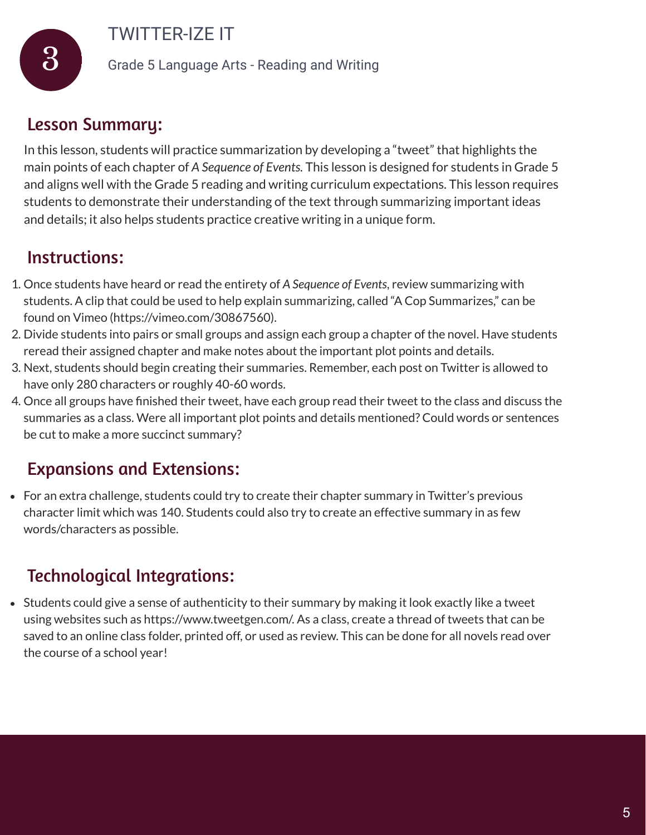TWITTER-IZE IT

3 Grade 5 Language Arts - Reading and Writing

#### Lesson Summary:

In this lesson, students will practice summarization by developing a "tweet" that highlights the main points of each chapter of *A Sequence of Events.* This lesson is designed for students in Grade 5 and aligns well with the Grade 5 reading and writing curriculum expectations. This lesson requires students to demonstrate their understanding of the text through summarizing important ideas and details; it also helps students practice creative writing in a unique form.

#### Instructions:

- 1. Once students have heard or read the entirety of *A Sequence of Events*, review summarizing with students. A clip that could be used to help explain summarizing, called "A Cop Summarizes," can be found on Vimeo (https://vimeo.com/30867560).
- 2. Divide students into pairs or small groups and assign each group a chapter of the novel. Have students reread their assigned chapter and make notes about the important plot points and details.
- 3. Next, students should begin creating their summaries. Remember, each post on Twitter is allowed to have only 280 characters or roughly 40-60 words.
- 4. Once all groups have finished their tweet, have each group read their tweet to the class and discuss the summaries as a class. Were all important plot points and details mentioned? Could words or sentences be cut to make a more succinct summary?

#### Expansions and Extensions:

For an extra challenge, students could try to create their chapter summary in Twitter's previous character limit which was 140. Students could also try to create an effective summary in as few words/characters as possible.

#### Technological Integrations:

Students could give a sense of authenticity to their summary by making it look exactly like a tweet using websites such as https://www.tweetgen.com/. As a class, create a thread of tweets that can be saved to an online class folder, printed off, or used as review. This can be done for all novels read over the course of a school year!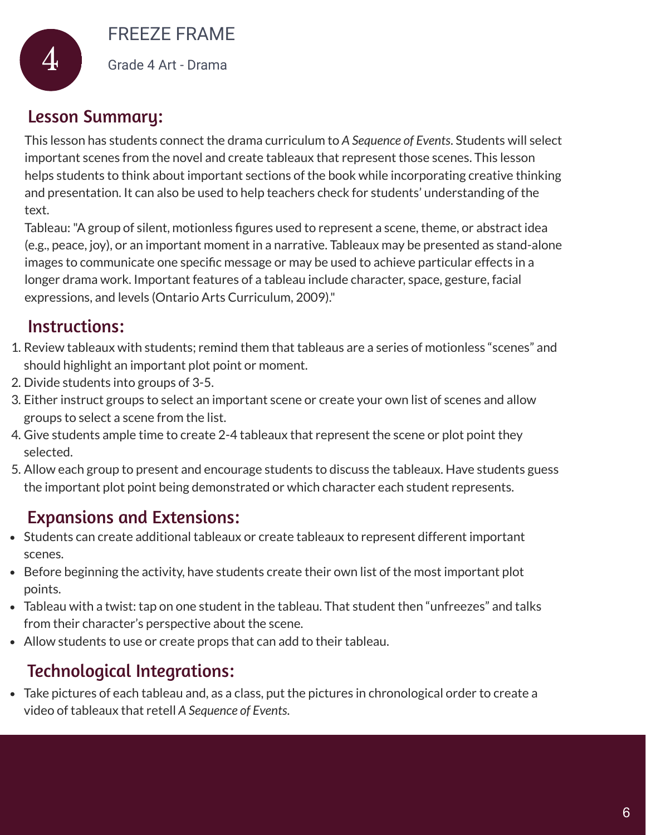FREEZE FRAME



4 Grade 4 Art - Drama

#### Lesson Summary:

This lesson has students connect the drama curriculum to *A Sequence of Events*. Students will select important scenes from the novel and create tableaux that represent those scenes. This lesson helps students to think about important sections of the book while incorporating creative thinking and presentation. It can also be used to help teachers check for students' understanding of the text.

Tableau:"A group of silent, motionless figures used to represent a scene, theme, or abstract idea (e.g., peace, joy), or an important moment in a narrative. Tableaux may be presented as stand-alone images to communicate one specific message or may be used to achieve particular effects in a longer drama work. Important features of a tableau include character, space, gesture, facial expressions, and levels (Ontario Arts Curriculum, 2009)."

#### Instructions:

- 1. Review tableaux with students; remind them that tableaus are a series of motionless "scenes" and should highlight an important plot point or moment.
- 2. Divide students into groups of 3-5.
- 3. Either instruct groups to select an important scene or create your own list of scenes and allow groups to select a scene from the list.
- 4. Give students ample time to create 2-4 tableaux that represent the scene or plot point they selected.
- 5. Allow each group to present and encourage students to discuss the tableaux. Have students guess the important plot point being demonstrated or which character each student represents.

#### Expansions and Extensions:

- Students can create additional tableaux or create tableaux to represent different important scenes.
- Before beginning the activity, have students create their own list of the most important plot points.
- Tableau with a twist: tap on one student in the tableau. That student then "unfreezes" and talks from their character's perspective about the scene.
- Allow students to use or create props that can add to their tableau.

## Technological Integrations:

Take pictures of each tableau and, as a class, put the pictures in chronological order to create a video of tableaux that retell *A Sequence of Events*.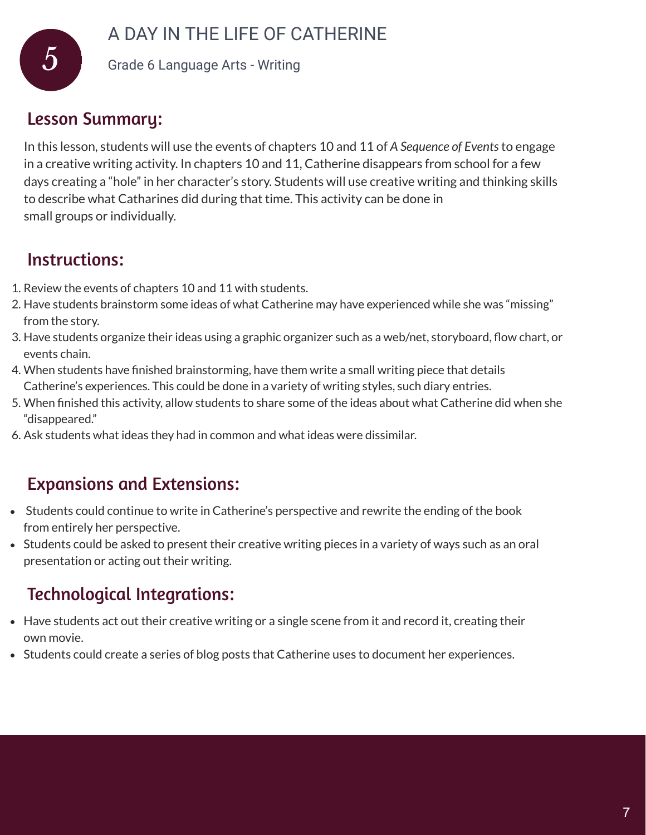#### A DAY IN THE LIFE OF CATHERINE



5 Grade 6 Language Arts - Writing

#### Lesson Summary:

In this lesson, students will use the events of chapters 10 and 11 of *A Sequence of Events*to engage in a creative writing activity. In chapters 10 and 11, Catherine disappears from school for a few days creating a "hole" in her character's story. Students will use creative writing and thinking skills to describe what Catharines did during that time. This activity can be done in small groups or individually.

#### Instructions:

- 1. Review the events of chapters 10 and 11 with students.
- 2. Have students brainstorm some ideas of what Catherine may have experienced while she was "missing" from the story.
- 3. Have students organize their ideas using a graphic organizer such as a web/net, storyboard, flow chart, or events chain.
- 4. When students have finished brainstorming, have them write a small writing piece that details Catherine's experiences. This could be done in a variety of writing styles, such diary entries.
- 5. When finished this activity, allow students to share some of the ideas about what Catherine did when she "disappeared."
- 6. Ask students what ideas they had in common and what ideas were dissimilar.

#### Expansions and Extensions:

- Students could continue to write in Catherine's perspective and rewrite the ending of the book from entirely her perspective.
- Students could be asked to present their creative writing pieces in a variety of ways such as an oral presentation or acting out their writing.

#### Technological Integrations:

- Have students act out their creative writing or a single scene from it and record it, creating their own movie.
- Students could create a series of blog posts that Catherine uses to document her experiences.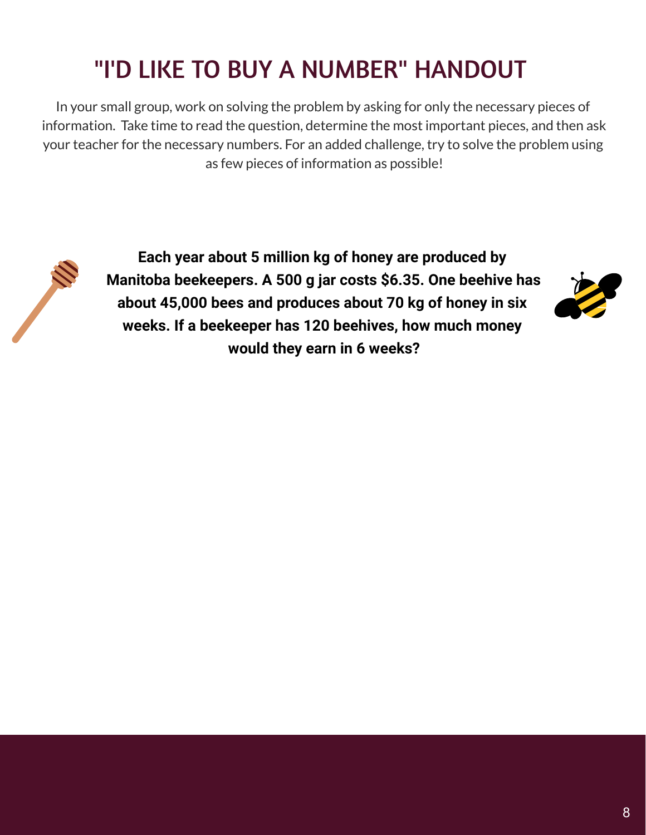# "I'D LIKE TO BUY A NUMBER" HANDOUT

In your small group, work on solving the problem by asking for only the necessary pieces of information. Take time to read the question, determine the most important pieces, and then ask your teacher for the necessary numbers. For an added challenge, try to solve the problem using as few pieces of information as possible!



**Each year about 5 million kg of honey are produced by Manitoba beekeepers. A 500 g jar costs \$6.35. One beehive has about 45,000 bees and produces about 70 kg of honey in six weeks. If a beekeeper has 120 beehives, how much money would they earn in 6 weeks?**